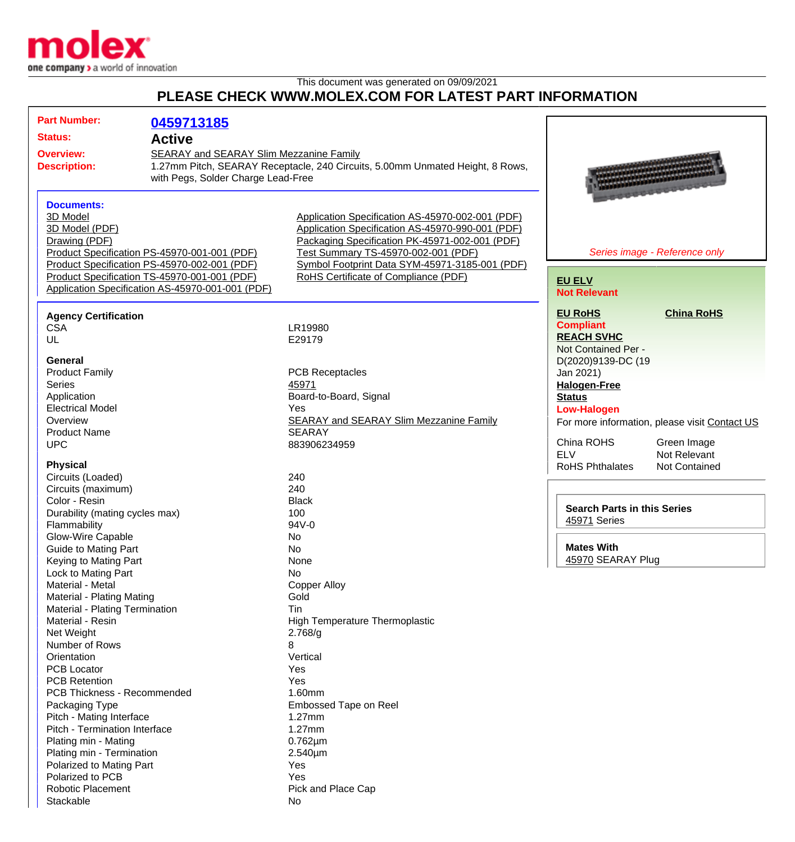

This document was generated on 09/09/2021

## **PLEASE CHECK WWW.MOLEX.COM FOR LATEST PART INFORMATION**

| <b>Part Number:</b>                                                                                            | 0459713185                                                                                                                                                                                       |                                                                                                                                                                                                                                                                                         |                                                                                                                                |
|----------------------------------------------------------------------------------------------------------------|--------------------------------------------------------------------------------------------------------------------------------------------------------------------------------------------------|-----------------------------------------------------------------------------------------------------------------------------------------------------------------------------------------------------------------------------------------------------------------------------------------|--------------------------------------------------------------------------------------------------------------------------------|
| <b>Status:</b>                                                                                                 | <b>Active</b>                                                                                                                                                                                    |                                                                                                                                                                                                                                                                                         |                                                                                                                                |
| <b>Overview:</b><br><b>Description:</b>                                                                        | SEARAY and SEARAY Slim Mezzanine Family<br>1.27mm Pitch, SEARAY Receptacle, 240 Circuits, 5.00mm Unmated Height, 8 Rows,<br>with Pegs, Solder Charge Lead-Free                                   |                                                                                                                                                                                                                                                                                         |                                                                                                                                |
| <b>Documents:</b><br>3D Model<br>3D Model (PDF)<br>Drawing (PDF)                                               | Product Specification PS-45970-001-001 (PDF)<br>Product Specification PS-45970-002-001 (PDF)<br>Product Specification TS-45970-001-001 (PDF)<br>Application Specification AS-45970-001-001 (PDF) | Application Specification AS-45970-002-001 (PDF)<br>Application Specification AS-45970-990-001 (PDF)<br>Packaging Specification PK-45971-002-001 (PDF)<br>Test Summary TS-45970-002-001 (PDF)<br>Symbol Footprint Data SYM-45971-3185-001 (PDF)<br>RoHS Certificate of Compliance (PDF) | Series image - Reference only<br><b>EU ELV</b><br><b>Not Relevant</b>                                                          |
| <b>Agency Certification</b><br><b>CSA</b><br>UL                                                                |                                                                                                                                                                                                  | LR19980<br>E29179                                                                                                                                                                                                                                                                       | <b>EU RoHS</b><br><b>China RoHS</b><br><b>Compliant</b><br><b>REACH SVHC</b><br>Not Contained Per -                            |
| General<br><b>Product Family</b><br><b>Series</b><br>Application<br><b>Electrical Model</b>                    |                                                                                                                                                                                                  | <b>PCB Receptacles</b><br>45971<br>Board-to-Board, Signal<br>Yes                                                                                                                                                                                                                        | D(2020)9139-DC (19<br>Jan 2021)<br><b>Halogen-Free</b><br><b>Status</b>                                                        |
| Overview<br><b>Product Name</b><br><b>UPC</b>                                                                  |                                                                                                                                                                                                  | <b>SEARAY and SEARAY Slim Mezzanine Family</b><br><b>SEARAY</b><br>883906234959                                                                                                                                                                                                         | <b>Low-Halogen</b><br>For more information, please visit Contact US<br>China ROHS<br>Green Image<br><b>ELV</b><br>Not Relevant |
| <b>Physical</b><br>Circuits (Loaded)<br>Circuits (maximum)<br>Color - Resin                                    |                                                                                                                                                                                                  | 240<br>240<br><b>Black</b>                                                                                                                                                                                                                                                              | <b>RoHS Phthalates</b><br><b>Not Contained</b>                                                                                 |
| Durability (mating cycles max)<br>Flammability<br>Glow-Wire Capable<br><b>Guide to Mating Part</b>             |                                                                                                                                                                                                  | 100<br>94V-0<br>No<br>No                                                                                                                                                                                                                                                                | <b>Search Parts in this Series</b><br>45971 Series<br><b>Mates With</b>                                                        |
| Keying to Mating Part<br>Lock to Mating Part<br>Material - Metal<br>Material - Plating Mating                  |                                                                                                                                                                                                  | None<br>No<br><b>Copper Alloy</b><br>Gold                                                                                                                                                                                                                                               | 45970 SEARAY Plug                                                                                                              |
| Material - Plating Termination<br>Material - Resin<br>Net Weight                                               |                                                                                                                                                                                                  | Tin<br>High Temperature Thermoplastic<br>2.768/g                                                                                                                                                                                                                                        |                                                                                                                                |
| Number of Rows<br>Orientation<br><b>PCB Locator</b><br><b>PCB Retention</b>                                    |                                                                                                                                                                                                  | 8<br>Vertical<br>Yes<br>Yes                                                                                                                                                                                                                                                             |                                                                                                                                |
| PCB Thickness - Recommended<br>Packaging Type<br>Pitch - Mating Interface                                      |                                                                                                                                                                                                  | 1.60mm<br>Embossed Tape on Reel<br>1.27mm                                                                                                                                                                                                                                               |                                                                                                                                |
| Pitch - Termination Interface<br>Plating min - Mating<br>Plating min - Termination<br>Polarized to Mating Part |                                                                                                                                                                                                  | 1.27mm<br>$0.762 \mu m$<br>2.540µm<br>Yes                                                                                                                                                                                                                                               |                                                                                                                                |
| Polarized to PCB<br><b>Robotic Placement</b><br>Stackable                                                      |                                                                                                                                                                                                  | Yes<br>Pick and Place Cap<br>No                                                                                                                                                                                                                                                         |                                                                                                                                |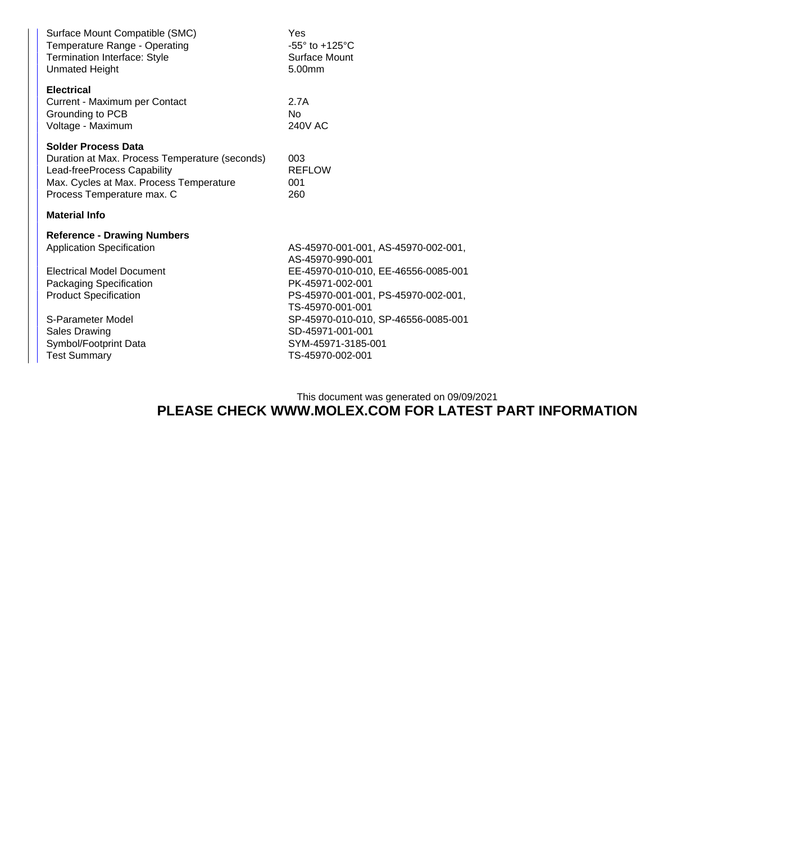| Surface Mount Compatible (SMC)<br>Temperature Range - Operating<br><b>Termination Interface: Style</b><br><b>Unmated Height</b>                                                      | Yes<br>$-55^\circ$ to $+125^\circ$ C<br>Surface Mount<br>5.00mm |  |  |  |
|--------------------------------------------------------------------------------------------------------------------------------------------------------------------------------------|-----------------------------------------------------------------|--|--|--|
| <b>Electrical</b><br>Current - Maximum per Contact<br>Grounding to PCB<br>Voltage - Maximum                                                                                          | 2.7A<br>N <sub>0</sub><br><b>240V AC</b>                        |  |  |  |
| <b>Solder Process Data</b><br>Duration at Max. Process Temperature (seconds)<br>Lead-freeProcess Capability<br>Max. Cycles at Max. Process Temperature<br>Process Temperature max. C | 003<br><b>REFLOW</b><br>001<br>260                              |  |  |  |
| <b>Material Info</b>                                                                                                                                                                 |                                                                 |  |  |  |
|                                                                                                                                                                                      |                                                                 |  |  |  |
| <b>Reference - Drawing Numbers</b>                                                                                                                                                   |                                                                 |  |  |  |
| <b>Application Specification</b>                                                                                                                                                     | AS-45970-001-001, AS-45970-002-001,<br>AS-45970-990-001         |  |  |  |
| <b>Electrical Model Document</b>                                                                                                                                                     | EE-45970-010-010, EE-46556-0085-001                             |  |  |  |
| Packaging Specification                                                                                                                                                              | PK-45971-002-001                                                |  |  |  |
| <b>Product Specification</b>                                                                                                                                                         | PS-45970-001-001, PS-45970-002-001,                             |  |  |  |
|                                                                                                                                                                                      | TS-45970-001-001                                                |  |  |  |
| S-Parameter Model                                                                                                                                                                    | SP-45970-010-010, SP-46556-0085-001                             |  |  |  |
| <b>Sales Drawing</b><br>Symbol/Footprint Data                                                                                                                                        | SD-45971-001-001<br>SYM-45971-3185-001                          |  |  |  |
| <b>Test Summary</b>                                                                                                                                                                  | TS-45970-002-001                                                |  |  |  |

This document was generated on 09/09/2021

## **PLEASE CHECK WWW.MOLEX.COM FOR LATEST PART INFORMATION**